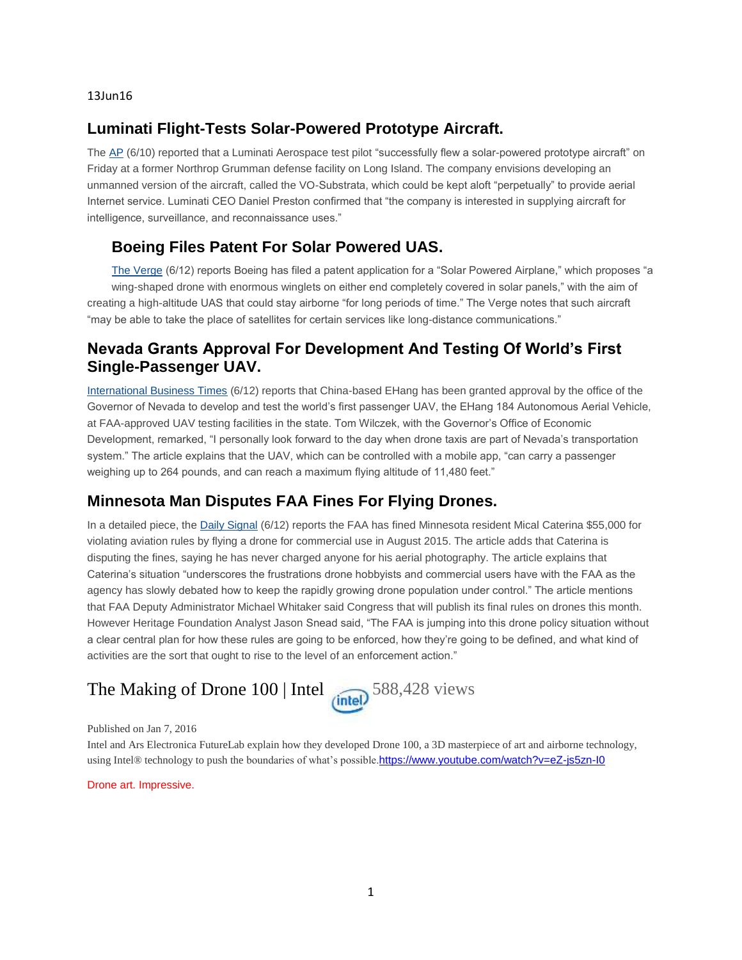13Jun16

### **Luminati Flight-Tests Solar-Powered Prototype Aircraft.**

The [AP](http://mailview.bulletinmedia.com/mailview.aspx?m=2016061301aiaa&r=2980706-1420&l=004-7ec&t=c) (6/10) reported that a Luminati Aerospace test pilot "successfully flew a solar-powered prototype aircraft" on Friday at a former Northrop Grumman defense facility on Long Island. The company envisions developing an unmanned version of the aircraft, called the VO-Substrata, which could be kept aloft "perpetually" to provide aerial Internet service. Luminati CEO Daniel Preston confirmed that "the company is interested in supplying aircraft for intelligence, surveillance, and reconnaissance uses."

## **Boeing Files Patent For Solar Powered UAS.**

[The Verge](http://mailview.bulletinmedia.com/mailview.aspx?m=2016061301aiaa&r=2980706-1420&l=007-726&t=c) (6/12) reports Boeing has filed a patent application for a "Solar Powered Airplane," which proposes "a wing-shaped drone with enormous winglets on either end completely covered in solar panels," with the aim of creating a high-altitude UAS that could stay airborne "for long periods of time." The Verge notes that such aircraft "may be able to take the place of satellites for certain services like long-distance communications."

#### **Nevada Grants Approval For Development And Testing Of World's First Single-Passenger UAV.**

[International Business Times](http://mailview.bulletinmedia.com/mailview.aspx?m=2016061301aiaa&r=2980706-1420&l=009-640&t=c) (6/12) reports that China-based EHang has been granted approval by the office of the Governor of Nevada to develop and test the world's first passenger UAV, the EHang 184 Autonomous Aerial Vehicle, at FAA-approved UAV testing facilities in the state. Tom Wilczek, with the Governor's Office of Economic Development, remarked, "I personally look forward to the day when drone taxis are part of Nevada's transportation system." The article explains that the UAV, which can be controlled with a mobile app, "can carry a passenger weighing up to 264 pounds, and can reach a maximum flying altitude of 11,480 feet."

#### **Minnesota Man Disputes FAA Fines For Flying Drones.**

In a detailed piece, the [Daily Signal](http://mailview.bulletinmedia.com/mailview.aspx?m=2016061301aiaa&r=2980706-1420&l=025-220&t=c) (6/12) reports the FAA has fined Minnesota resident Mical Caterina \$55,000 for violating aviation rules by flying a drone for commercial use in August 2015. The article adds that Caterina is disputing the fines, saying he has never charged anyone for his aerial photography. The article explains that Caterina's situation "underscores the frustrations drone hobbyists and commercial users have with the FAA as the agency has slowly debated how to keep the rapidly growing drone population under control." The article mentions that FAA Deputy Administrator Michael Whitaker said Congress that will publish its final rules on drones this month. However Heritage Foundation Analyst Jason Snead said, "The FAA is jumping into this drone policy situation without a clear central plan for how these rules are going to be enforced, how they're going to be defined, and what kind of activities are the sort that ought to rise to the level of an enforcement action."

# The Making of Drone  $100$  | Intel  $\binom{6}{\text{intel}}$  588,428 views



Published on Jan 7, 2016

Intel and Ars Electronica FutureLab explain how they developed Drone 100, a 3D masterpiece of art and airborne technology, using Intel® technology to push the boundaries of what's possible.<https://www.youtube.com/watch?v=eZ-js5zn-I0>

Drone art. Impressive.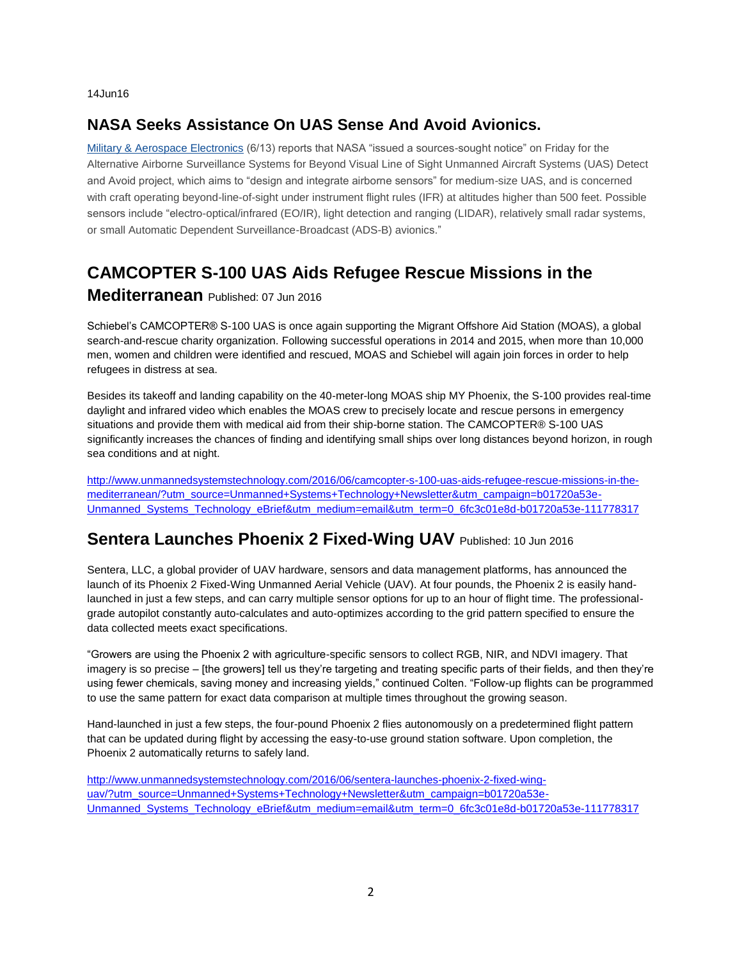14Jun16

# **NASA Seeks Assistance On UAS Sense And Avoid Avionics.**

[Military & Aerospace Electronics](http://mailview.bulletinmedia.com/mailview.aspx?m=2016061401aiaa&r=2980706-77c8&l=014-e9b&t=c) (6/13) reports that NASA "issued a sources-sought notice" on Friday for the Alternative Airborne Surveillance Systems for Beyond Visual Line of Sight Unmanned Aircraft Systems (UAS) Detect and Avoid project, which aims to "design and integrate airborne sensors" for medium-size UAS, and is concerned with craft operating beyond-line-of-sight under instrument flight rules (IFR) at altitudes higher than 500 feet. Possible sensors include "electro-optical/infrared (EO/IR), light detection and ranging (LIDAR), relatively small radar systems, or small Automatic Dependent Surveillance-Broadcast (ADS-B) avionics."

# **CAMCOPTER S-100 UAS Aids Refugee Rescue Missions in the**

#### **Mediterranean** Published: 07 Jun 2016

Schiebel's CAMCOPTER® S-100 UAS is once again supporting the Migrant Offshore Aid Station (MOAS), a global search-and-rescue charity organization. Following successful operations in 2014 and 2015, when more than 10,000 men, women and children were identified and rescued, MOAS and Schiebel will again join forces in order to help refugees in distress at sea.

Besides its takeoff and landing capability on the 40-meter-long MOAS ship MY Phoenix, the S-100 provides real-time daylight and infrared video which enables the MOAS crew to precisely locate and rescue persons in emergency situations and provide them with medical aid from their ship-borne station. The CAMCOPTER® S-100 UAS significantly increases the chances of finding and identifying small ships over long distances beyond horizon, in rough sea conditions and at night.

[http://www.unmannedsystemstechnology.com/2016/06/camcopter-s-100-uas-aids-refugee-rescue-missions-in-the](http://www.unmannedsystemstechnology.com/2016/06/camcopter-s-100-uas-aids-refugee-rescue-missions-in-the-mediterranean/?utm_source=Unmanned+Systems+Technology+Newsletter&utm_campaign=b01720a53e-Unmanned_Systems_Technology_eBrief&utm_medium=email&utm_term=0_6fc3c01e8d-b01720a53e-111778317)[mediterranean/?utm\\_source=Unmanned+Systems+Technology+Newsletter&utm\\_campaign=b01720a53e-](http://www.unmannedsystemstechnology.com/2016/06/camcopter-s-100-uas-aids-refugee-rescue-missions-in-the-mediterranean/?utm_source=Unmanned+Systems+Technology+Newsletter&utm_campaign=b01720a53e-Unmanned_Systems_Technology_eBrief&utm_medium=email&utm_term=0_6fc3c01e8d-b01720a53e-111778317)[Unmanned\\_Systems\\_Technology\\_eBrief&utm\\_medium=email&utm\\_term=0\\_6fc3c01e8d-b01720a53e-111778317](http://www.unmannedsystemstechnology.com/2016/06/camcopter-s-100-uas-aids-refugee-rescue-missions-in-the-mediterranean/?utm_source=Unmanned+Systems+Technology+Newsletter&utm_campaign=b01720a53e-Unmanned_Systems_Technology_eBrief&utm_medium=email&utm_term=0_6fc3c01e8d-b01720a53e-111778317)

## **Sentera Launches Phoenix 2 Fixed-Wing UAV** Published: 10 Jun 2016

Sentera, LLC, a global provider of UAV hardware, sensors and data management platforms, has announced the launch of its Phoenix 2 Fixed-Wing Unmanned Aerial Vehicle (UAV). At four pounds, the Phoenix 2 is easily handlaunched in just a few steps, and can carry multiple sensor options for up to an hour of flight time. The professionalgrade autopilot constantly auto-calculates and auto-optimizes according to the grid pattern specified to ensure the data collected meets exact specifications.

"Growers are using the Phoenix 2 with agriculture-specific sensors to collect RGB, NIR, and NDVI imagery. That imagery is so precise – [the growers] tell us they're targeting and treating specific parts of their fields, and then they're using fewer chemicals, saving money and increasing yields," continued Colten. "Follow-up flights can be programmed to use the same pattern for exact data comparison at multiple times throughout the growing season.

Hand-launched in just a few steps, the four-pound Phoenix 2 flies autonomously on a predetermined flight pattern that can be updated during flight by accessing the easy-to-use ground station software. Upon completion, the Phoenix 2 automatically returns to safely land.

[http://www.unmannedsystemstechnology.com/2016/06/sentera-launches-phoenix-2-fixed-wing](http://www.unmannedsystemstechnology.com/2016/06/sentera-launches-phoenix-2-fixed-wing-uav/?utm_source=Unmanned+Systems+Technology+Newsletter&utm_campaign=b01720a53e-Unmanned_Systems_Technology_eBrief&utm_medium=email&utm_term=0_6fc3c01e8d-b01720a53e-111778317)[uav/?utm\\_source=Unmanned+Systems+Technology+Newsletter&utm\\_campaign=b01720a53e-](http://www.unmannedsystemstechnology.com/2016/06/sentera-launches-phoenix-2-fixed-wing-uav/?utm_source=Unmanned+Systems+Technology+Newsletter&utm_campaign=b01720a53e-Unmanned_Systems_Technology_eBrief&utm_medium=email&utm_term=0_6fc3c01e8d-b01720a53e-111778317)[Unmanned\\_Systems\\_Technology\\_eBrief&utm\\_medium=email&utm\\_term=0\\_6fc3c01e8d-b01720a53e-111778317](http://www.unmannedsystemstechnology.com/2016/06/sentera-launches-phoenix-2-fixed-wing-uav/?utm_source=Unmanned+Systems+Technology+Newsletter&utm_campaign=b01720a53e-Unmanned_Systems_Technology_eBrief&utm_medium=email&utm_term=0_6fc3c01e8d-b01720a53e-111778317)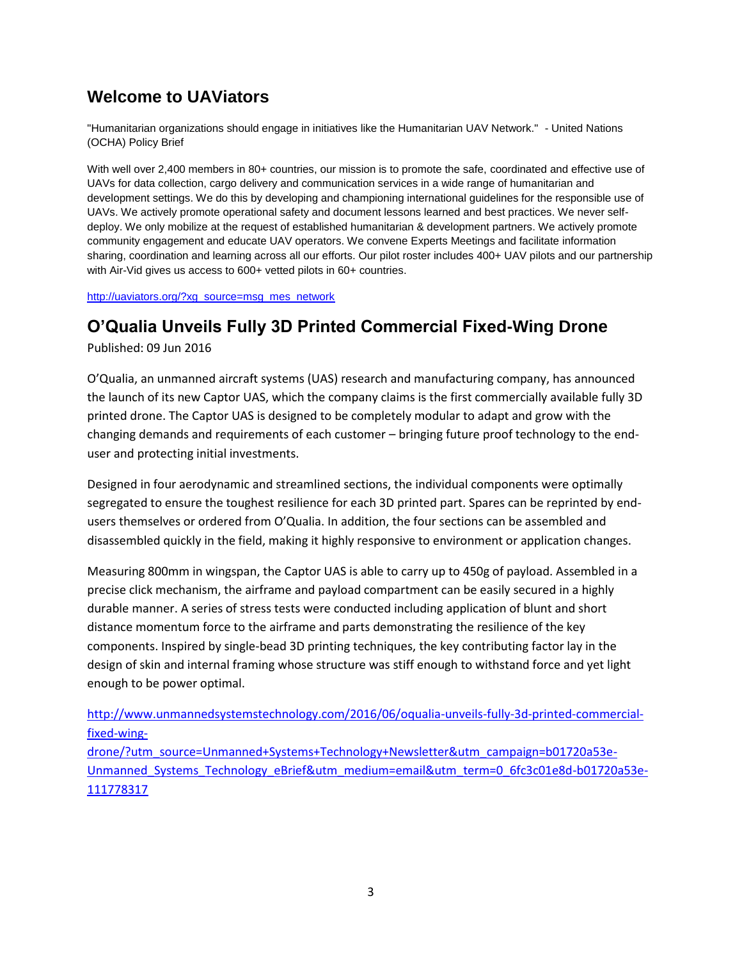# **Welcome to UAViators**

"Humanitarian organizations should engage in initiatives like the Humanitarian UAV Network." - United Nations (OCHA) Policy Brief

With well over 2,400 members in 80+ countries, our mission is to promote the safe, coordinated and effective use of UAVs for data collection, cargo delivery and communication services in a wide range of humanitarian and development settings. We do this by developing and championing international guidelines for the responsible use of UAVs. We actively promote operational safety and document lessons learned and best practices. We never selfdeploy. We only mobilize at the request of established humanitarian & development partners. We actively promote community engagement and educate UAV operators. We convene Experts Meetings and facilitate information sharing, coordination and learning across all our efforts. Our pilot roster includes 400+ UAV pilots and our partnership with Air-Vid gives us access to 600+ vetted pilots in 60+ countries.

[http://uaviators.org/?xg\\_source=msg\\_mes\\_network](http://uaviators.org/?xg_source=msg_mes_network)

# **O'Qualia Unveils Fully 3D Printed Commercial Fixed-Wing Drone**

Published: 09 Jun 2016

O'Qualia, an unmanned aircraft systems (UAS) research and manufacturing company, has announced the launch of its new Captor UAS, which the company claims is the first commercially available fully 3D printed drone. The Captor UAS is designed to be completely modular to adapt and grow with the changing demands and requirements of each customer – bringing future proof technology to the enduser and protecting initial investments.

Designed in four aerodynamic and streamlined sections, the individual components were optimally segregated to ensure the toughest resilience for each 3D printed part. Spares can be reprinted by endusers themselves or ordered from O'Qualia. In addition, the four sections can be assembled and disassembled quickly in the field, making it highly responsive to environment or application changes.

Measuring 800mm in wingspan, the Captor UAS is able to carry up to 450g of payload. Assembled in a precise click mechanism, the airframe and payload compartment can be easily secured in a highly durable manner. A series of stress tests were conducted including application of blunt and short distance momentum force to the airframe and parts demonstrating the resilience of the key components. Inspired by single-bead 3D printing techniques, the key contributing factor lay in the design of skin and internal framing whose structure was stiff enough to withstand force and yet light enough to be power optimal.

[http://www.unmannedsystemstechnology.com/2016/06/oqualia-unveils-fully-3d-printed-commercial](http://www.unmannedsystemstechnology.com/2016/06/oqualia-unveils-fully-3d-printed-commercial-fixed-wing-drone/?utm_source=Unmanned+Systems+Technology+Newsletter&utm_campaign=b01720a53e-Unmanned_Systems_Technology_eBrief&utm_medium=email&utm_term=0_6fc3c01e8d-b01720a53e-111778317)[fixed-wing-](http://www.unmannedsystemstechnology.com/2016/06/oqualia-unveils-fully-3d-printed-commercial-fixed-wing-drone/?utm_source=Unmanned+Systems+Technology+Newsletter&utm_campaign=b01720a53e-Unmanned_Systems_Technology_eBrief&utm_medium=email&utm_term=0_6fc3c01e8d-b01720a53e-111778317)

[drone/?utm\\_source=Unmanned+Systems+Technology+Newsletter&utm\\_campaign=b01720a53e-](http://www.unmannedsystemstechnology.com/2016/06/oqualia-unveils-fully-3d-printed-commercial-fixed-wing-drone/?utm_source=Unmanned+Systems+Technology+Newsletter&utm_campaign=b01720a53e-Unmanned_Systems_Technology_eBrief&utm_medium=email&utm_term=0_6fc3c01e8d-b01720a53e-111778317)[Unmanned\\_Systems\\_Technology\\_eBrief&utm\\_medium=email&utm\\_term=0\\_6fc3c01e8d-b01720a53e-](http://www.unmannedsystemstechnology.com/2016/06/oqualia-unveils-fully-3d-printed-commercial-fixed-wing-drone/?utm_source=Unmanned+Systems+Technology+Newsletter&utm_campaign=b01720a53e-Unmanned_Systems_Technology_eBrief&utm_medium=email&utm_term=0_6fc3c01e8d-b01720a53e-111778317)[111778317](http://www.unmannedsystemstechnology.com/2016/06/oqualia-unveils-fully-3d-printed-commercial-fixed-wing-drone/?utm_source=Unmanned+Systems+Technology+Newsletter&utm_campaign=b01720a53e-Unmanned_Systems_Technology_eBrief&utm_medium=email&utm_term=0_6fc3c01e8d-b01720a53e-111778317)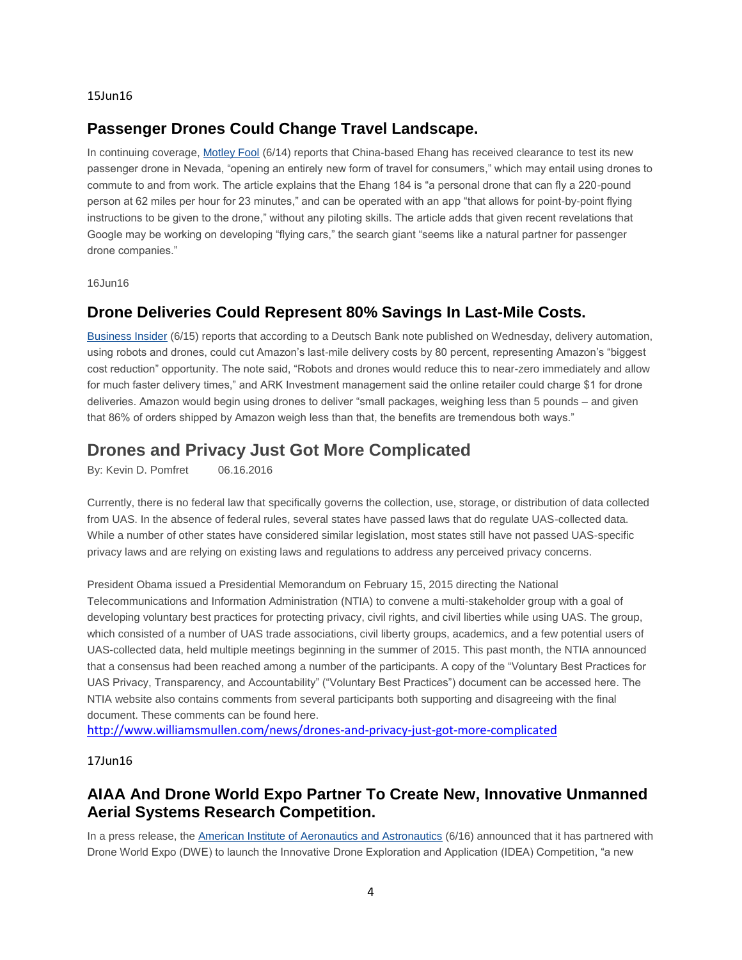15Jun16

#### **Passenger Drones Could Change Travel Landscape.**

In continuing coverage, [Motley Fool](http://mailview.bulletinmedia.com/mailview.aspx?m=2016061501aiaa&r=2980706-ab1d&l=017-582&t=c) (6/14) reports that China-based Ehang has received clearance to test its new passenger drone in Nevada, "opening an entirely new form of travel for consumers," which may entail using drones to commute to and from work. The article explains that the Ehang 184 is "a personal drone that can fly a 220-pound person at 62 miles per hour for 23 minutes," and can be operated with an app "that allows for point-by-point flying instructions to be given to the drone," without any piloting skills. The article adds that given recent revelations that Google may be working on developing "flying cars," the search giant "seems like a natural partner for passenger drone companies."

16Jun16

#### **Drone Deliveries Could Represent 80% Savings In Last-Mile Costs.**

[Business Insider](http://mailview.bulletinmedia.com/mailview.aspx?m=2016061601aiaa&r=2980706-f523&l=017-1e6&t=c) (6/15) reports that according to a Deutsch Bank note published on Wednesday, delivery automation, using robots and drones, could cut Amazon's last-mile delivery costs by 80 percent, representing Amazon's "biggest cost reduction" opportunity. The note said, "Robots and drones would reduce this to near-zero immediately and allow for much faster delivery times," and ARK Investment management said the online retailer could charge \$1 for drone deliveries. Amazon would begin using drones to deliver "small packages, weighing less than 5 pounds – and given that 86% of orders shipped by Amazon weigh less than that, the benefits are tremendous both ways."

## **Drones and Privacy Just Got More Complicated**

By: Kevin D. Pomfret 06.16.2016

Currently, there is no federal law that specifically governs the collection, use, storage, or distribution of data collected from UAS. In the absence of federal rules, several states have passed laws that do regulate UAS-collected data. While a number of other states have considered similar legislation, most states still have not passed UAS-specific privacy laws and are relying on existing laws and regulations to address any perceived privacy concerns.

President Obama issued a Presidential Memorandum on February 15, 2015 directing the National Telecommunications and Information Administration (NTIA) to convene a multi-stakeholder group with a goal of developing voluntary best practices for protecting privacy, civil rights, and civil liberties while using UAS. The group, which consisted of a number of UAS trade associations, civil liberty groups, academics, and a few potential users of UAS-collected data, held multiple meetings beginning in the summer of 2015. This past month, the NTIA announced that a consensus had been reached among a number of the participants. A copy of the "Voluntary Best Practices for UAS Privacy, Transparency, and Accountability" ("Voluntary Best Practices") document can be accessed here. The NTIA website also contains comments from several participants both supporting and disagreeing with the final document. These comments can be found here.

<http://www.williamsmullen.com/news/drones-and-privacy-just-got-more-complicated>

17Jun16

#### **AIAA And Drone World Expo Partner To Create New, Innovative Unmanned Aerial Systems Research Competition.**

In a press release, the [American Institute of Aeronautics and Astronautics](http://mailview.bulletinmedia.com/mailview.aspx?m=2016061701aiaa&r=2980706-af41&l=035-df7&t=c) (6/16) announced that it has partnered with Drone World Expo (DWE) to launch the Innovative Drone Exploration and Application (IDEA) Competition, "a new